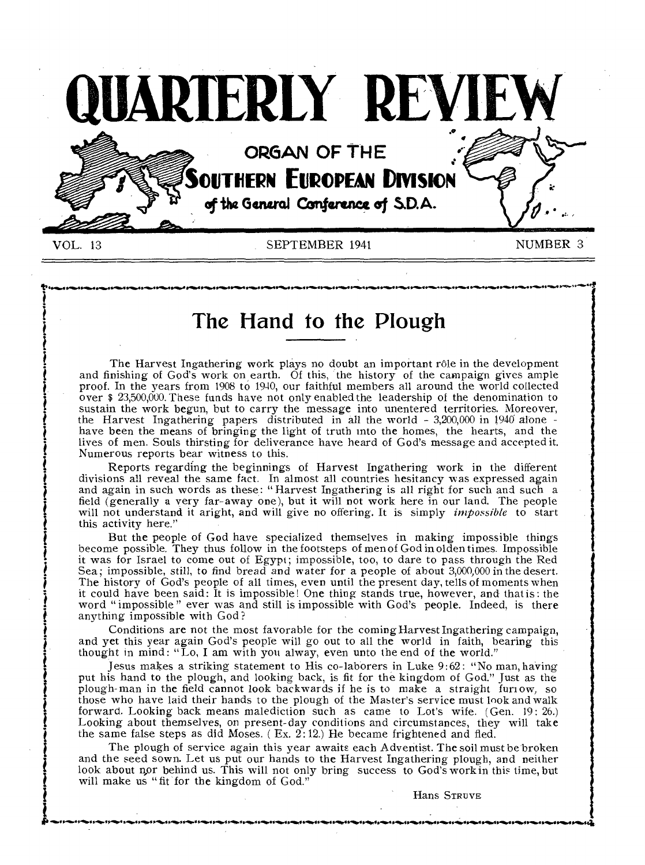

**The Hand to the Plough** 

The Harvest Ingathering work plays no doubt an important rôle in the development and finishing of God's work on earth. Of this, the history of the campaign gives ample proof. In the years from 1908 to 1940, our faithful members all around the world collected over \$ 23,500,000. These funds have not only enabled the leadership of the denomination to sustain the work begun, but to carry the message into unentered territories. Moreover, the Harvest Ingathering papers distributed in all the world - 3,200,000 in 1940 alone have been the means of bringing the light of truth into the homes, the hearts, and the lives of men. Souls thirsting for deliverance have heard of God's message and accepted it. Numerous reports bear witness to this.

Reports regarding the beginnings of Harvest Ingathering work in the different divisions all reveal the same fact. In almost all countries hesitancy was expressed again and again in such words as these: "Harvest Ingathering is all right for such and such a field (generally a very far-away one), but it will not work here in our land. The people will not understand it aright, and will give no offering. It is simply *impossible* to start this activity here."

L j

t i

But the people of God have specialized themselves in making impossible things become possible. They thus follow in the footsteps of men of God in olden times. Impossible it was for Israel to come out of Egypt; impossible, too, to dare to pass through the Red Sea; impossible, still, to find bread and water for a people of about 3,000,000 in the desert. The history of God's people of all times, even until the present day, tells of moments when it could have been said: It is impossible! One thing stands true, however, and that is: the word "impossible" ever was and still is impossible with God's people. Indeed, is there anything impossible with God?

Conditions are not the most favorable for the coming Harvest Ingathering campaign, and yet this year again God's people will go out to all the world in faith, bearing this thought in mind: "Lo, I am with you alway, even unto the end of the world."

Jesus makes a striking statement to His co-laborers in Luke 9:62: "No man, having put his hand to the plough, and looking back, is fit for the kingdom of God." Just as the plough-man in the field cannot look backwards if he is to make a straight furrow, so those who have laid their hands to the plough of the Master's service must look and walk forward. Looking back means malediction such as came to Lot's wife. (Gen. 19: 26.) Looking about themselves, on present-day conditions and circumstances, they will take the same false steps as did Moses. (Ex. 2:12.) He became frightened and fled.

The plough of service again this year awaits each Adventist. The soil must be broken and the seed sown. Let us put our hands to the Harvest Ingathering plough, and neither look about nor behind us. This will not only bring success to God's work in this time, but will make us "fit for the kingdom of God."

 $f_{\rm c}$  reading the transition of the transition of the transition of the transition of the transition of  $f_{\rm c}$ 

Hans STRUVE

4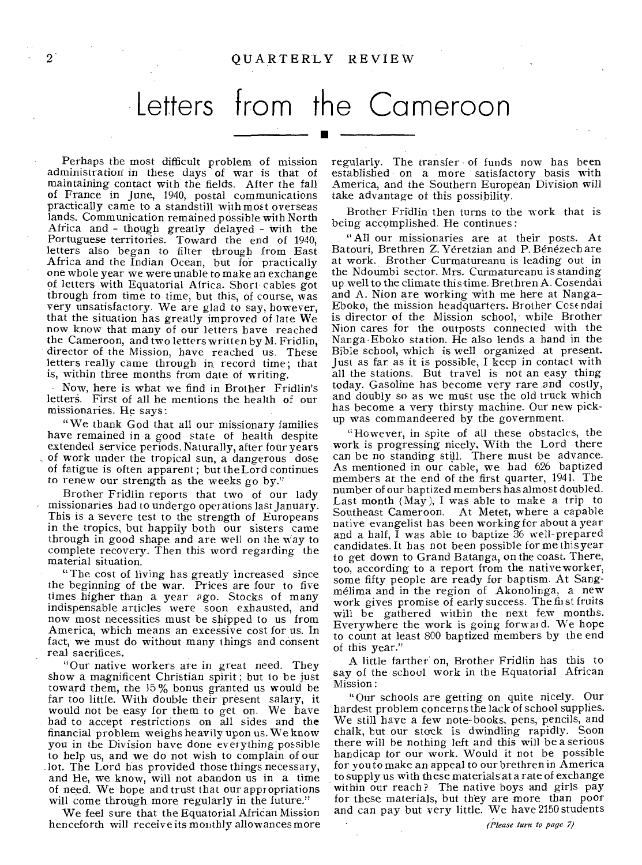# Letters from the Cameroon •

Perhaps the most difficult problem of mission administration in these days of war is that of maintaining contact with the fields. After the fall of France in June, 1940, postal communications practically came to a standstill with most overseas lands. Communication remained possible with North Africa and - though greatly delayed - with the Portuguese territories. Toward the end of 1940, letters also began to filter through from East Africa and the Indian Ocean, but for practically one whole year we were unable to make an exchange of letters with Equatorial Africa. Short cables got through from time to time, but this, of course, was very unsatisfactory. We are glad to say, however, that the situation has greatly improved of late We now know that many of our letters have reached the Cameroon, and two letters written by M. Fridlin, director of the Mission, have reached us. These letters really came through in record time; that is, within three months from date of writing.

Now, here is what we find in Brother Fridlin's letters. First of all he mentions the health of our missionaries. He says:

"We thank God that all our missionary families have remained in a good state of health despite extended service periods. Naturally, after four years of work under the tropical sun, a dangerous dose of fatigue is often apparent ; but the Lord continues to renew our strength as the weeks go by."

Brother Fridlin reports that two of our lady missionaries had to undergo operations last January. This is a severe test to the strength of Europeans in the tropics, but happily both our sisters came through in good shape and are well on the way to complete recovery. Then this word regarding the material situation.

"The cost of living has greatly increased since the beginning of the war. Prices are four to five times higher than a year ago. Stocks of many indispensable articles were soon exhausted, and now most necessities must be shipped to us from America, which means an excessive cost for us. In fact, we must do without many things and consent real sacrifices.

"Our native workers are in great need. They show a magnificent Christian spirit; but to be just toward them, the 15% bonus granted us would be far too little. With double their present salary, it would not be easy for them to get on. We have had to accept restrictions on all sides and the financial problem weighs heavily upon us. We know you in the Division have done everything possible to help us, and we do not wish to complain of our lot. The Lord has provided those things necessary, and He, we know, will not abandon us in a time of need. We hope and trust that our appropriations will come through more regularly in the future."

We feel sure that the Equatorial African Mission henceforth will receive its monthly allowances more regularly. The transfer of funds now has been established on a more satisfactory basis with America, and the Southern European Division will take advantage of this possibility.

Brother Fridlin then turns to the work that is being accomplished. He continues:

"All our missionaries are at their posts. At Batouri, Brethren Z. Yéretzian and P. Bénézech are at work. Brother Curmatureanu is leading out in the Ndoumbi sector. Mrs. Curmatureanu is standing up well to the climate this time. Brethren A. Cosendai and A. Nion are working with me here at Nanga-Eboko, the mission headquarters. Brother Cosendai is director of the Mission school, while Brother Nion cares for the outposts connected- with the Nanga-Eboko station. He also lends a hand in the Bible school, which is well organized at present. Just as far as it is possible, I keep in contact with all the stations. But travel is not an easy thing today. Gasoline has become very rare and costly, and doubly so as we must use the old truck which has become a very thirsty machine. Our new pickup was commandeered by the government.

"However, in spite of all these obstacles, the work is progressing nicely. With the Lord there can be no standing still. There must be advance. As mentioned in our cable, we had 626 baptized members at the end of the first quarter, 1941. The number of our baptized members has almost doubled. Last month (May), I was able to make a trip to Southeast Cameroon. At Metet, where a capable native evangelist has been working for about a year and a half,  $\overline{I}$  was able to baptize  $\overline{3}6$  well-prepared candidates. It has not been possible for me this year to get down to Grand Batanga, on the coast. There, too, according to a report from the native worker, some fifty people are ready for baptism. At Sangmelima and in the region of Akonolinga, a new work gives promise of early success. The first fruits will be gathered within the next few months. Everywhere the work is going forward. We hope to count at least 800 baptized members by the end of this year."

A little farther on, Brother Fridlin has this to say of the school work in the Equatorial African Mission:

"Our schools are getting on quite nicely. Our hardest problem concerns the lack of school supplies. We still have a few note-books, pens, pencils, and chalk, but our stock is dwindling rapidly. Soon there will be nothing left and this will be a serious handicap for our work. Would it not be possible for you to make an appeal to our brethren in America to supply us with these materials at a rate of exchange within our reach? The native boys and girls pay for these materials, but they are more than poor and can pay but very little. We have 2150 students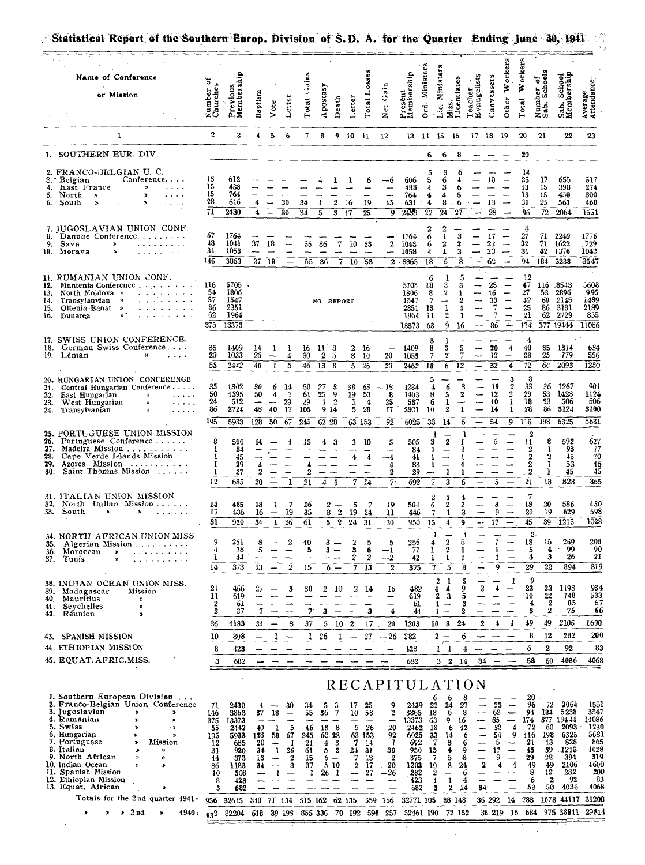| Name of Conference<br>or Mission                                                                                                                                                                                                                                                                                                                                                                                                                                  | ৳<br>Churches<br>Number                                               | Previou<br>Member                                                                                    | Baptism                                                    | ste                                                                               | Letter                                                          | Total Gains                                                   | Apostasy                                     | Death                                                                  | Letter                                            | Total                                                         | Gain<br>Net                                                                                     | Present<br>Membership                                                                                                  | Ord. Ministers                                             | Ministers<br>ű,<br>قت<br>Ż                                                                      | Licentiates<br>Teacher                                              | Evangelists                                                        | Canvassers                                      | orkers<br>₹<br>Other                                                             | ₿<br>Total                                                                            | Number of<br>Sab. Schools                                                                | School<br>Sab.<br>Meml                                                                                      | Average<br>Attendance                                                                             |
|-------------------------------------------------------------------------------------------------------------------------------------------------------------------------------------------------------------------------------------------------------------------------------------------------------------------------------------------------------------------------------------------------------------------------------------------------------------------|-----------------------------------------------------------------------|------------------------------------------------------------------------------------------------------|------------------------------------------------------------|-----------------------------------------------------------------------------------|-----------------------------------------------------------------|---------------------------------------------------------------|----------------------------------------------|------------------------------------------------------------------------|---------------------------------------------------|---------------------------------------------------------------|-------------------------------------------------------------------------------------------------|------------------------------------------------------------------------------------------------------------------------|------------------------------------------------------------|-------------------------------------------------------------------------------------------------|---------------------------------------------------------------------|--------------------------------------------------------------------|-------------------------------------------------|----------------------------------------------------------------------------------|---------------------------------------------------------------------------------------|------------------------------------------------------------------------------------------|-------------------------------------------------------------------------------------------------------------|---------------------------------------------------------------------------------------------------|
| 1                                                                                                                                                                                                                                                                                                                                                                                                                                                                 | $\overline{2}$                                                        | 3                                                                                                    | 4                                                          | 5                                                                                 | 6                                                               | 7                                                             | 8                                            |                                                                        | 9 10 11                                           |                                                               | 12                                                                                              |                                                                                                                        |                                                            | 13 14 15 16                                                                                     |                                                                     | 17 18 19                                                           |                                                 |                                                                                  | 20                                                                                    | 21                                                                                       | 22                                                                                                          | 23                                                                                                |
| 1. SOUTHERN EUR. DIV.                                                                                                                                                                                                                                                                                                                                                                                                                                             |                                                                       |                                                                                                      |                                                            |                                                                                   |                                                                 |                                                               |                                              |                                                                        |                                                   |                                                               |                                                                                                 |                                                                                                                        | 6                                                          | 6                                                                                               | 8                                                                   |                                                                    |                                                 |                                                                                  | 20                                                                                    |                                                                                          |                                                                                                             |                                                                                                   |
| 2. FRANCO-BELGIAN U. C.<br>3. Belgian<br>Conference<br>East France<br>$\,$<br>4.<br>5.<br>North »<br>ъ<br>6.<br>South<br>×                                                                                                                                                                                                                                                                                                                                        | 13<br>15<br>15<br>28<br>$\overline{\mathrm{m}}$                       | 612<br>438<br>764<br>616<br>2430                                                                     | 4<br>$\ddot{\phantom{a}}$                                  |                                                                                   | 30<br>30                                                        | 34<br>34                                                      | 1<br>5                                       | $\mathbf{2}$<br>3                                                      | 16<br>17                                          | 6<br>19<br>25                                                 | -6<br>15<br>9                                                                                   | 606<br>438<br>764<br>631<br>2439                                                                                       | 5<br>4<br>4<br>$\ddot{\bullet}$<br>$\overline{22}$         | 6<br>3<br>4<br>8<br>24                                                                          | 6<br>5<br>6<br>27                                                   |                                                                    | 10<br>13<br>23                                  |                                                                                  | 14<br>25<br>13<br>13<br>31<br>96                                                      | 17<br>15<br>15<br>25<br>$\overline{72}$                                                  | 655<br>398<br>450<br>561<br>2064                                                                            | 517<br>274<br>300<br>460.<br>1551                                                                 |
| 7. JUGOSLAVIAN UNION CONF.<br>8. Danube Conference<br>9.<br>Sava<br>$\blacktriangleright$<br>10. Morava<br>×<br>$\mathbf{u}$ , and $\mathbf{u}$ , and $\mathbf{u}$                                                                                                                                                                                                                                                                                                | 67<br>48<br>31<br>146                                                 | 1764<br>1041<br>1058<br>3863                                                                         | 37<br>$37 - 18$                                            | 18<br>$\overline{\phantom{0}}$                                                    | —                                                               | 55<br>55                                                      | 36<br>36                                     | 7<br>$\overline{\mathcal{L}}$                                          | 10<br>10                                          | 53<br>53                                                      | $\mathbf 2$<br>--                                                                               | 1764<br>1043<br>1058<br>2 3865                                                                                         | $\overline{2}$<br>6<br>6<br>4<br>18                        | $\overline{2}$<br>1<br>$\boldsymbol{2}$<br>ı<br>6                                               | 3<br>2<br>3<br>8                                                    |                                                                    | 17<br>22<br>23<br>62                            | $\overline{\phantom{0}}$<br>$\overline{\phantom{m}}$<br>$\overline{\phantom{a}}$ | 4<br>27<br>32<br>31<br>$\overline{91}$                                                | 71<br>71<br>42<br>184.                                                                   | 2240<br>1622<br>1376<br>5238                                                                                | 1776<br>. 729<br>1042<br>3547<br>$\ddot{\phantom{a}}$                                             |
| 11. RUMANIAN UNION CONF.<br>Muntenia Conference<br>12.<br>13.<br>North Moldova »<br>Transylanvian »<br>14.<br>Oltenia-Banat<br>15.<br>$\rightarrow$<br>16.<br>Dunarea                                                                                                                                                                                                                                                                                             | 116<br>54<br>57<br>86<br>62<br>375                                    | $5705$ .<br>1806<br>1547<br>2351<br>1964<br>13373                                                    |                                                            |                                                                                   |                                                                 |                                                               | NO REPORT                                    |                                                                        |                                                   |                                                               |                                                                                                 | 5705<br>1806<br>1547<br>2351<br>1964<br>13373                                                                          | 6<br>18<br>8<br>7<br>13<br>11<br>63                        | 3<br>2<br>$\frac{1}{2}$<br>9                                                                    | 3<br>4<br>1<br>16                                                   |                                                                    | 23<br>16<br>33<br>7<br>7<br>86                  | -<br>$\overline{\phantom{0}}$<br>$\overline{\phantom{0}}$<br>÷                   | 12<br>47<br>27<br>42<br>$\frac{25}{21}$<br>174                                        | 53<br>60<br>86<br>62                                                                     | 116 8543<br>2896<br>2145<br>3131<br>2729<br>377 19444                                                       | 5608<br>995<br>1439<br>2189<br>855<br>11086                                                       |
| 17. SWISS UNION CONFERENCE.<br>German Swiss Conference<br>18.<br>19. Léman<br>$\mathbf{H}$<br>$\sim$ $\sim$ $\sim$ $\sim$                                                                                                                                                                                                                                                                                                                                         | 35<br>20<br>55                                                        | 1409<br>1033<br>2442                                                                                 | 14<br>26<br>40                                             | 1<br>1                                                                            | 1<br>4<br>5                                                     | 16<br>30<br>46                                                | $\mathbf{11}$<br>2<br>13                     | 3<br>5<br>8                                                            | $\mathbf{2}$<br>з<br>$\overline{5}$               | 16<br>10<br>26                                                | 20<br>20                                                                                        | 1409<br>1053<br>2462                                                                                                   | 3<br>8<br>7<br>18                                          | 3<br>z<br>6                                                                                     | 5<br>$\overline{12}$                                                |                                                                    | 20<br>12<br>32                                  | 4<br>$\overline{\phantom{m}}$<br>4                                               | 4<br>40<br>28<br>$\overline{72}$                                                      | 35<br>25<br>60                                                                           | 1314<br>779<br>2093                                                                                         | 634<br>596<br>1230                                                                                |
| 20. HUNGARIAN UNION CONFERENCE<br>Central Hungarian Conference<br>21.<br>East Hungarian<br>22,<br>$\pmb{\varkappa}$<br>23.<br>West Hungarian<br>$\cdots$<br>24.<br>Transylvanian<br>n<br>.                                                                                                                                                                                                                                                                        | 35<br>50<br>24<br>86<br>195                                           | 1302<br>1395<br>512<br>2724<br>5933                                                                  | 30<br>50<br>$\overline{\phantom{a}}$<br>48<br>128          | 6<br>4<br>40<br>50                                                                | 14<br>-7<br>29<br>17<br>67                                      | 50<br>61<br>29<br>105<br>245                                  | 27<br>25<br>-1<br>9 14<br>62 28              | 3<br>9<br>$\overline{\mathbf{2}}$                                      | 38<br>19<br>1<br>5<br>63 153                      | 68<br>53<br>4<br>28                                           | $-18$<br>8<br>25<br>17<br>$9\overline{2}$                                                       | 1284<br>1403<br>537<br><b>2801</b><br>6025                                                                             | 5<br>4<br>8<br>6<br>10<br>$\overline{33}$                  | 6<br>5<br>1<br>2<br>14                                                                          | 3<br>2<br>1<br>6                                                    |                                                                    | 18<br>12<br>10<br>14<br>54                      | 3<br>$\frac{2}{2}$<br>$\mathbf{1}$<br>1<br>9                                     | 8<br>33<br>29<br>18<br>28<br>116                                                      | 36<br>53<br>23<br>86<br>198                                                              | 1267<br>1428<br>$-506$<br>3124<br>6325                                                                      | 901<br>1124<br>506<br>3100<br>5631                                                                |
| 25. PORTUGUESE UNION MISSION<br>Portuguese Conference<br>26.<br>Madeira Mission<br>27.<br>28.<br>Cape Verde Islands Mission<br>Azores Mission<br>29.<br>Saint Thomas Mission<br>30.                                                                                                                                                                                                                                                                               | 8<br>1<br>-1<br>1<br>1<br>12                                          | 500<br>84<br>45<br>29<br>27<br>685                                                                   | 14<br>4<br>$\overline{2}$<br>20                            |                                                                                   | 1<br>1                                                          | 15<br>4<br>2<br>21                                            | 4<br>4                                       | 3<br>3                                                                 | 3<br>4<br>7                                       | 10<br>4<br>14                                                 | 5<br>--4<br>$\overline{4}$<br>2<br>7 <sup>1</sup>                                               | 505<br>84<br>41<br>33<br>29<br>692                                                                                     | 1<br>3<br>1<br>1<br>1<br>7                                 | $\bf 2$<br>$\overline{\phantom{0}}$<br>1<br>3                                                   | 4<br>1<br>6                                                         |                                                                    | $\overline{5}$<br>5                             |                                                                                  | $\boldsymbol{2}$<br>11<br>$\frac{2}{2}$<br>$\boldsymbol{2}$<br>$\boldsymbol{2}$<br>21 | 8<br>ı<br>$\frac{2}{1}$<br>I<br>13                                                       | 592<br>93<br>45<br>53<br>45<br>828                                                                          | 627<br>$\substack{77 \\ 70}$<br>46<br>45<br>865                                                   |
| 31. ITALIAN UNION MISSION<br>32. North Italian Mission<br>33.<br>South<br>.                                                                                                                                                                                                                                                                                                                                                                                       | 14<br>17<br>31                                                        | 485<br>435<br>920                                                                                    | 18<br>16<br>34                                             | 1<br>$\overline{\phantom{m}}$<br>$\mathbf{I}$                                     | 7<br>19<br>$26\,$                                               | 26<br>35<br>61                                                | 2<br>$\overline{5}$                          | 3 <sup>2</sup><br>$\overline{2}$                                       | 5<br>19<br>24                                     | 24<br>$\overline{31}$                                         | 19<br>11<br>$\overline{30}$                                                                     | 504<br>446<br>950                                                                                                      | 2<br>6<br>7<br>$\overline{15}$                             | 1<br>2<br>1<br>4                                                                                | 2<br>3<br>9                                                         | $\overline{\phantom{a}}$                                           | 8<br>9<br>17                                    | $\overline{\phantom{a}}$                                                         | 7<br>18<br>20<br>45                                                                   | 20<br>19<br>39                                                                           | 586<br>629<br>1215                                                                                          | 430<br>598<br>1028                                                                                |
| 34. NORTH AFRICAN UNION MISS<br>Algerian Mission<br>35.<br>Moroccan<br>36.<br>$\bullet$<br>.<br>37.<br>Tunis<br>$\lambda$                                                                                                                                                                                                                                                                                                                                         | 9<br>4<br>1<br>14                                                     | 251<br>78<br>44<br>373                                                                               | 8<br>5<br>13                                               |                                                                                   | 2<br>2                                                          | 10<br>5<br>15                                                 | 3<br>3<br>6                                  |                                                                        | $\boldsymbol{2}$<br>3<br>2<br>7                   | 5<br>6<br>2<br>13                                             | 5<br>$-1$<br>$-2$<br>2                                                                          | 256<br>77<br>42<br>375                                                                                                 | 4<br>ı<br>1                                                | ı<br>$\boldsymbol{2}$<br>$\overline{2}$<br>1<br>5                                               | 1<br>5<br>1<br>1<br>8                                               |                                                                    | 7<br>1<br>1                                     |                                                                                  | $\mathbf{2}$<br>18<br>5<br>4<br>29                                                    | 15<br>4<br>3<br>22                                                                       | 269<br>99<br>26<br>394                                                                                      | 208<br>90<br>21<br>$\overline{319}$                                                               |
| 38. INDIAN OCEAN UNION MISS.<br>Madagascar<br>39.<br>Mission<br>40.<br>Mauritius<br>$\mathbf{v}$<br>Seychelles<br>41.<br>"<br>Réunion<br>42.<br>≯                                                                                                                                                                                                                                                                                                                 | 21<br>11<br>$\boldsymbol{2}$<br>$\boldsymbol{2}$                      | 466<br>619<br>61<br>37                                                                               | 27<br>7                                                    |                                                                                   | з                                                               | 30<br>7                                                       | 2<br>3                                       | 10                                                                     | 2                                                 | 14<br>3                                                       | 16<br>$\overline{\phantom{0}}$<br>4                                                             | 482<br>619<br>61<br>41                                                                                                 |                                                            | $\boldsymbol{2}$<br>ı<br>4<br>4<br>2<br>3<br>1<br>-<br>1<br>-                                   | 5<br>9<br>5<br>3<br>2                                               | 2                                                                  | 4                                               | 1                                                                                | 9<br>23<br>10<br>4<br>3                                                               | 23<br>$\frac{22}{2}$<br>2                                                                | 1198<br>748<br>85<br>75                                                                                     | 934<br>533<br>67<br>66                                                                            |
| 43. SPANISH MISSION                                                                                                                                                                                                                                                                                                                                                                                                                                               | 36<br>10                                                              | 1183<br>308                                                                                          | 34<br>منعد                                                 | ı                                                                                 | 3                                                               | 37<br>ı                                                       | 5<br>26                                      | 10<br>1                                                                | 2                                                 | 17<br>27                                                      | 20<br>$-26$                                                                                     | 1203<br>282                                                                                                            |                                                            | -8<br>10<br>2                                                                                   | 24<br>6                                                             | 2                                                                  | 4                                               | 1                                                                                | 49<br>8                                                                               | 49<br>12                                                                                 | 2106<br>282                                                                                                 | 1690<br>200                                                                                       |
| 44. ETHIOPIAN MISSION                                                                                                                                                                                                                                                                                                                                                                                                                                             | 8                                                                     | 423                                                                                                  |                                                            |                                                                                   |                                                                 |                                                               |                                              |                                                                        |                                                   |                                                               |                                                                                                 | 423                                                                                                                    |                                                            | $\iota$ 1                                                                                       | 4                                                                   |                                                                    |                                                 |                                                                                  | 6                                                                                     | 2                                                                                        | 92                                                                                                          | 83                                                                                                |
| 45. EQUAT. AFRIC. MISS.                                                                                                                                                                                                                                                                                                                                                                                                                                           | 3                                                                     | 682                                                                                                  |                                                            |                                                                                   |                                                                 |                                                               |                                              |                                                                        |                                                   |                                                               |                                                                                                 | 682                                                                                                                    |                                                            | $3\quad 2$                                                                                      | 14                                                                  | 34                                                                 |                                                 |                                                                                  | 53                                                                                    | 50                                                                                       | 4036                                                                                                        | 4068                                                                                              |
| 1. Southern European Division<br>2. Franco-Belgian Union Conference<br>3. Jugoslavian<br>4. Rumanian<br>×<br>5. Swiss<br>$\overline{\phantom{a}}$<br>6. Hungarian<br>×<br>D<br>7. Portuguese<br>Mission<br>$\overline{\phantom{a}}$<br>8. Italian<br>,<br>»<br>9. North African<br>))<br>$\boldsymbol{\mathcal{R}}$<br>10. Indian Ocean<br>y)<br>э<br>11. Spanish Mission<br>12. Ethiopian Mission<br>13. Equat. African<br>ъ<br>Totals for the 2nd quarter 1941: | 71<br>146<br>375<br>55<br>195<br>12<br>31<br>14<br>36<br>10<br>8<br>3 | 2430<br>3863<br>13373<br>2442<br>5933<br>685<br>920<br>373<br>1183<br>308<br>423<br>682<br>956 32615 | 4<br>37<br>40<br>128<br>20<br>34<br>13<br>34<br>310 71 134 | 18<br>-1<br>50<br>$\overline{\phantom{a}}$<br>-1<br>$\overline{\phantom{m}}$<br>ı | 30<br>$\overline{\phantom{a}}$<br>5<br>67<br>-1<br>26<br>2<br>3 | 34<br>55<br>46<br>245<br>21<br>61<br>15<br>37<br>1<br>515 162 | 5<br>36<br>13<br>62 28<br>4<br>5.<br>6<br>26 | 3<br>7<br>- 8<br>-3<br>2<br>$\equiv$<br>5 10<br>$\mathbf{1}$<br>o2 135 | 17<br>10<br>5<br>7<br>24<br>7<br>$\boldsymbol{2}$ | 25<br>53<br>26<br>63 153<br>14<br>31<br>13<br>17<br>27<br>359 | 9<br>$\boldsymbol{2}$<br>-<br>20<br>92<br>7<br>30<br>$\boldsymbol{2}$<br>20<br>26<br>--<br>-156 | RECAPITULATION<br>2439<br>3865<br>13373<br>2462<br>6025<br>692<br>950<br>375<br>1203<br>282<br>423<br>682<br>32771 205 | 6<br>22<br>18<br>63<br>18<br>33<br>7<br>15<br>7<br>10<br>2 | 6<br>24<br>6<br>9<br>6<br>14<br>3<br>4<br>5<br>8<br>--<br>$\mathbf{1}$<br>1<br>2<br>3<br>88 148 | 8<br>27<br>8<br>16<br>12<br>6<br>6<br>9<br>-8<br>24<br>6<br>4<br>14 | ÷<br>-<br>$\overline{\phantom{0}}$<br>-<br>-<br>2<br>34.<br>36 292 | 23<br>62<br>85<br>32<br>54<br>5<br>17<br>9<br>4 | -<br>4<br>-9<br>-<br>Ц,<br>4<br>14                                               | 20<br>96<br>94<br>174<br>72<br>116<br>21<br>45<br>29<br>49<br>8<br>6<br>53<br>783     | 72<br>184<br>60<br>198<br>13<br>39<br>22<br>49<br>$12^{\circ}$<br>$\boldsymbol{2}$<br>50 | 2064<br>5238<br>377 19444<br>2093<br>6325<br>828<br>.1215<br>394<br>2106<br>282<br>92<br>4036<br>1078 44117 | 1551<br>3547<br>11086<br>1230<br>5631<br>865<br>1028<br>319<br>1600<br>200<br>83<br>4068<br>31208 |
| $\lambda$ 2nd<br>1940 :                                                                                                                                                                                                                                                                                                                                                                                                                                           | $93^2$                                                                | 32204                                                                                                |                                                            | 618 39 198                                                                        |                                                                 | 855 336 70 192                                                |                                              |                                                                        |                                                   |                                                               | 598 257                                                                                         |                                                                                                                        |                                                            | 32461 190 72 152                                                                                |                                                                     |                                                                    |                                                 | 36 219 15                                                                        | 684                                                                                   |                                                                                          | 975 38811                                                                                                   | 29814                                                                                             |
|                                                                                                                                                                                                                                                                                                                                                                                                                                                                   |                                                                       |                                                                                                      |                                                            |                                                                                   |                                                                 |                                                               |                                              |                                                                        |                                                   |                                                               |                                                                                                 |                                                                                                                        |                                                            |                                                                                                 |                                                                     |                                                                    |                                                 |                                                                                  |                                                                                       |                                                                                          |                                                                                                             |                                                                                                   |

 $\hat{\mathcal{L}}$ 

# Statistical Report of the Southern Europ. Division of S.D. A. for the Quarter Ending June 30, 1941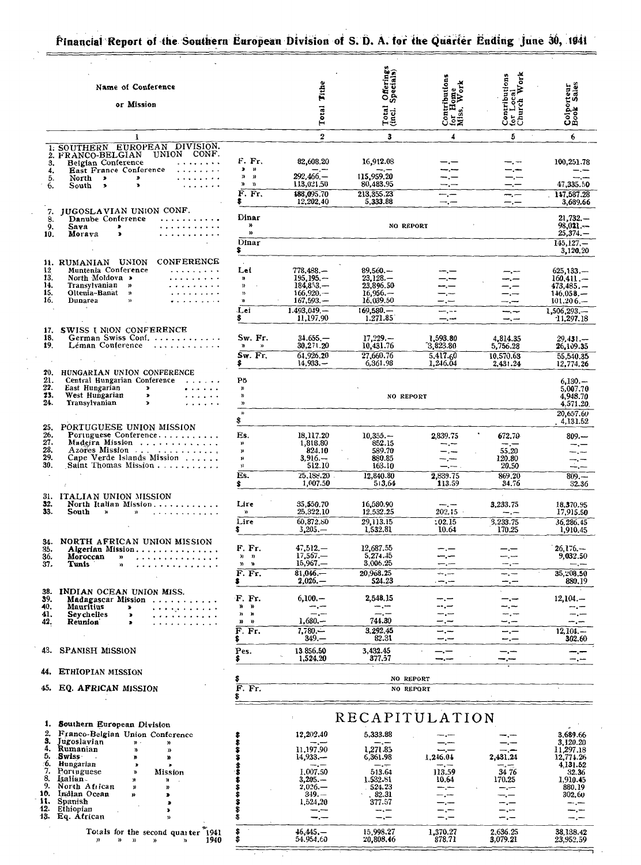### Financial Report of the Southern European Division of S. D. A. for the Quarter Ending June 30, 1941

|                                 | Name of Conference<br>or Mission                                                                                                                                                                                                                                                                                                                                                                                                                                                                  |                                                                                                     | Tithe<br>Total                                                                                          | Offerings<br>Specials)<br>Total<br>(incl.)                                               | Contributions<br>for Home<br>Miss, Work        | Contributions<br>for Local<br>Church Work     | Colporteur<br>Book Sales                                                                                |
|---------------------------------|---------------------------------------------------------------------------------------------------------------------------------------------------------------------------------------------------------------------------------------------------------------------------------------------------------------------------------------------------------------------------------------------------------------------------------------------------------------------------------------------------|-----------------------------------------------------------------------------------------------------|---------------------------------------------------------------------------------------------------------|------------------------------------------------------------------------------------------|------------------------------------------------|-----------------------------------------------|---------------------------------------------------------------------------------------------------------|
|                                 | $\mathbf{1}$                                                                                                                                                                                                                                                                                                                                                                                                                                                                                      |                                                                                                     | $\overline{2}$                                                                                          | 3                                                                                        | 4                                              | 5                                             | 6                                                                                                       |
| 3.<br>4.<br>5.<br>6.            | 1. SOUTHERN EUROPEAN DIVISION.<br>UNION CONF.<br>2. FRANCO-BELGIAN<br>Belgian Conference<br>.<br>East France Conference<br>$\mathbf{1} \cdot \mathbf{1} \cdot \mathbf{1} \cdot \mathbf{1} \cdot \mathbf{1} \cdot \mathbf{1} \cdot \mathbf{1} \cdot \mathbf{1} \cdot \mathbf{1}$<br>. <i>. .</i><br>North $\rightarrow$<br>$\,$<br>$\blacktriangleright$<br>.<br>South<br>$\bullet$                                                                                                                | F. Fr.<br>$\pmb{\ast}$<br>$\rightarrow$<br>y,<br>$\boldsymbol{\eta}$<br>$\mathbf{n}$<br>n<br>F. Fr. | 82,608.20<br>$292.466 -$<br>113.021.50<br>188,095.70                                                    | 16,912.08<br>115,959.20<br>80,483.95<br>213.355.23                                       | --.-                                           | —. —<br>$\frac{1}{2}$                         | 100,251.78<br>47,335.50<br>147,587.28                                                                   |
| 7.<br>8.                        | <b>JUGOSLAVIAN UNION CONF.</b><br>Danube Conference                                                                                                                                                                                                                                                                                                                                                                                                                                               | Dinar                                                                                               | 12,202.40                                                                                               | 5,333.88                                                                                 | —. —                                           | $-,-$                                         | 3,689.66<br>$21,732,-$                                                                                  |
| 9.<br>10.                       | .<br>Sava<br>$\bullet$<br>Morava<br>.<br>$\bullet$                                                                                                                                                                                                                                                                                                                                                                                                                                                | у,<br>n.<br>Dinar                                                                                   |                                                                                                         | <b>NO REPORT</b>                                                                         |                                                |                                               | $98,021--$<br>$25,374. -$<br>$145, 127. -$                                                              |
|                                 |                                                                                                                                                                                                                                                                                                                                                                                                                                                                                                   | \$                                                                                                  |                                                                                                         |                                                                                          |                                                |                                               | 3,120,20                                                                                                |
| 12<br>13.<br>14.<br>15.<br>16.  | 11. RUMANIAN UNION CONFERENCE<br>Muntenia Conference<br>North Moldova ><br>$\label{eq:reduced} \mathbf{1}_{\mathbf{1}} \mathbf{1}_{\mathbf{2}} \mathbf{1}_{\mathbf{3}} \mathbf{1}_{\mathbf{4}} \mathbf{1}_{\mathbf{5}} \mathbf{1}_{\mathbf{6}} \mathbf{1}_{\mathbf{7}} \mathbf{1}_{\mathbf{8}} \mathbf{1}_{\mathbf{9}} \mathbf{1}_{\mathbf{1}} \mathbf{1}_{\mathbf{1}}$<br>Transylvanian »<br>.<br>Oltenia-Banat »<br>$\mathcal{A}$ . And the set of the $\mathcal{A}$<br>Dunarea<br>$\mathbf{u}$ | Lei<br>$\mathbf{w}$<br>$\mathbf{v}$<br>$\mathbf{v}$<br>n,<br>Lei<br>\$                              | 778,488.-<br>$195.195 -$<br>$184,8.53, -$<br>$166,920, -$<br>$167,593. -$<br>$1.493.049 -$<br>11,197.90 | $89,560 -$<br>$23.128-$<br>23,896.50<br>$16,956-$<br>16,039.50<br>$169,580-$<br>1.271.85 | $-,-$<br>$-,-$<br>—<br>—.—                     | --.--<br>-.-<br>–.—<br>---<br>—.—<br>--.-     | $625, 133, -$<br>$160, 411, -$<br>$473.485 -$<br>$146.058-$<br>$101,206, -$<br>1,506,293,-<br>11,297.18 |
| 17.                             | SWISS I NION CONFERENCE                                                                                                                                                                                                                                                                                                                                                                                                                                                                           |                                                                                                     |                                                                                                         |                                                                                          |                                                |                                               |                                                                                                         |
| 18.<br>19.                      | German Swiss Conf.<br>Léman Conference                                                                                                                                                                                                                                                                                                                                                                                                                                                            | Sw. Fr.<br>$\mathbf{v}$<br>$\mathbf{a}$<br>Sw. Fr.                                                  | $34.655 -$<br>30,271.20<br>64,926,20<br>$14,933. -$                                                     | $17,229-$<br>10,431.76<br>27,660.76<br>6,361.98                                          | 1,593.80<br>3,823.80<br>5,417.60<br>1,246.04   | 4,814.35<br>5,756.28<br>10.570.63<br>2.431.24 | $29.431 -$<br>26,109.35<br>55,540.35<br>12,774.26                                                       |
| 20.<br>21.<br>22.<br>23.<br>24. | HUNGARIAN UNION CONFERENCE<br>Central Hungarian Conference<br>East Hungarian<br>$\rightarrow$<br>$\bullet \quad \bullet \quad \bullet \quad \bullet \quad \bullet \quad \bullet$<br>West Hungarian<br>$\bullet$<br>$\cdots$<br>Transylvanian<br>$\mathbf{r}$<br>$\alpha$ , and $\alpha$ , and $\alpha$                                                                                                                                                                                            | Pö<br>))<br>$\mathbf{v}$<br>$\mathbf{v}$<br>$\mathcal{V}$                                           |                                                                                                         | NO REPORT                                                                                |                                                |                                               | $6,130-$<br>5,007.70<br>4,948.70<br>4.571.20.<br>20,657.60                                              |
| 25.                             | PORTUGUESE UNION MISSION                                                                                                                                                                                                                                                                                                                                                                                                                                                                          | \$                                                                                                  |                                                                                                         |                                                                                          |                                                |                                               | 4,131.52                                                                                                |
| 26.<br>27.<br>28.<br>29.<br>30. | Portuguese Conference<br>Azeres Mission<br>Cape Verde Islands Mission<br>Saint Thomas Mission                                                                                                                                                                                                                                                                                                                                                                                                     | Es.<br>y)<br>3)<br>n<br>$\mathbf{y}$                                                                | 18,117.20<br>1,818.80<br>824.10<br>$3.916-$<br>512.10                                                   | $10.355 -$<br>852.15<br>589.70<br>880.85<br>163.10                                       | 2.839.75<br>سندر سند<br>-.-<br><u>in the c</u> | 672.70<br>-- -<br>55.20<br>120.80<br>20.50    | $809. -$<br>$-$ . $-$<br>≟.—                                                                            |
|                                 |                                                                                                                                                                                                                                                                                                                                                                                                                                                                                                   | Es.<br>\$                                                                                           | 25,188,20<br>1,007.50                                                                                   | 12,840.80<br>513,64                                                                      | 2,839.75<br>113.59                             | 869.20<br>34.76                               | $809 -$<br>32.36                                                                                        |
| 31.<br>32.<br>33.               | ITALIAN UNION MISSION<br>North Italian Mission.<br>South<br>$\mathbf{y}_i$<br>.<br>$\mathbf{v}$                                                                                                                                                                                                                                                                                                                                                                                                   | Lire<br>$\mathcal{V}$<br>Lire                                                                       | 35,550.70<br>25.322.10<br>60.872.80                                                                     | 16,580.90<br>12,532.25<br>29,113.15                                                      | 202.15<br>:02,15                               | 3,233.75<br>--.--<br>3,233.75                 | 18,370.95<br>17,915.50<br>36,286,45                                                                     |
|                                 |                                                                                                                                                                                                                                                                                                                                                                                                                                                                                                   | s                                                                                                   | $3,205, -$                                                                                              | 1.532.81                                                                                 | 10.64                                          | 170.25                                        | 1,910.45                                                                                                |
| 34.<br>35.<br>36.<br>37.        | NORTH AFRICAN UNION MISSION<br>Algerian Mission<br>Moroccan<br>.<br>n<br>Tunis<br>Y)<br>.                                                                                                                                                                                                                                                                                                                                                                                                         | F. Fr.<br>$\mathbf{n}$ $\mathbf{n}$<br>y,<br>w<br>F. Fr.                                            | $47,512-$<br>$17.567 -$<br>15,967<br>$81.046-$                                                          | 12,687.55<br>5,274.45<br>3,006.25<br>20.968.25                                           | <br>سرچ                                        | — —<br>--.--<br>--.--<br>—. —                 | $26,176-$<br>9,032.50<br>سندرسته<br>35,208.50                                                           |
|                                 |                                                                                                                                                                                                                                                                                                                                                                                                                                                                                                   | \$                                                                                                  | $2.026 -$                                                                                               | 524.23                                                                                   | ∽.−                                            | ⊸.⊸                                           | 880,19                                                                                                  |
| 38.<br>39.<br>40.<br>41.        | INDIAN OCEAN UNION MISS.<br>Madagascar Mission<br>Mauritius<br>. <i>. .</i> .<br><b>Seychelles</b><br>$\bullet$                                                                                                                                                                                                                                                                                                                                                                                   | F. Fr.<br>$\mathbf{v}$<br>n.<br>n<br>n                                                              | $6,100, -$<br>--.--<br>ست راست                                                                          | 2,548,15<br>--.--<br>$- -$                                                               |                                                | –.⊷<br>- -<br>سارت                            | $12,104. -$                                                                                             |
| 42.                             | Reunion<br>$\blacksquare$                                                                                                                                                                                                                                                                                                                                                                                                                                                                         | Y)<br>D)                                                                                            | $1,680-$                                                                                                | 744.30                                                                                   |                                                |                                               |                                                                                                         |
|                                 |                                                                                                                                                                                                                                                                                                                                                                                                                                                                                                   | F. Fr.<br>\$                                                                                        | $7,780-$<br>349.—                                                                                       | 3.292.45<br>82.31                                                                        | ---<br>--.-                                    | —.—<br>---                                    | $12.104. -$<br>302.60                                                                                   |
| 43.                             | <b>SPANISH MISSION</b>                                                                                                                                                                                                                                                                                                                                                                                                                                                                            | Pes.<br>s                                                                                           | 13 856.50<br>1,524.20                                                                                   | 3,432.45<br>377.57                                                                       | -.-<br>---                                     | —.—                                           |                                                                                                         |
| 44.                             | ETHIOPIAN MISSION                                                                                                                                                                                                                                                                                                                                                                                                                                                                                 | \$                                                                                                  |                                                                                                         | NO REPORT                                                                                |                                                |                                               |                                                                                                         |
| 45.                             | EQ. AFRICAN MISSION                                                                                                                                                                                                                                                                                                                                                                                                                                                                               | F. Fr.<br>Ş                                                                                         |                                                                                                         | NO REPORT                                                                                |                                                |                                               |                                                                                                         |
|                                 |                                                                                                                                                                                                                                                                                                                                                                                                                                                                                                   |                                                                                                     |                                                                                                         | RECAPITULATION                                                                           |                                                |                                               |                                                                                                         |
| 1.<br>2.<br>З.<br>4.            | Southern European Division<br>Franco-Belgian Union Conference<br>Jugoslavian<br>$\mathfrak{p}$ .<br>'n<br>Rumanian                                                                                                                                                                                                                                                                                                                                                                                |                                                                                                     | 12,202,40<br>--.--                                                                                      | 5,333.88<br>$-,-$                                                                        |                                                |                                               | 3,689.66<br>3,120.20                                                                                    |
| 5.                              | n,<br>$\mathbf{v}$<br>.Swiss<br>n<br>n                                                                                                                                                                                                                                                                                                                                                                                                                                                            |                                                                                                     | 11.197.90<br>$14,933-$                                                                                  | 1,271.85<br>6,361.98                                                                     | 1,246.04                                       | 2,431,24                                      | 11,297.18<br>12,774.26                                                                                  |
| 6.<br>7.                        | Hungarian<br>$\pmb{\ast}$<br>×<br>Portuguese<br>Mission<br>»                                                                                                                                                                                                                                                                                                                                                                                                                                      |                                                                                                     | 1.007.50                                                                                                | 513.64                                                                                   | 113.59                                         | 34 76                                         | 4,131.52<br>32.36                                                                                       |
| 8.<br>9.                        | Italian-<br>'n<br>R<br>North African<br>n<br>n                                                                                                                                                                                                                                                                                                                                                                                                                                                    |                                                                                                     | $3,205. -$<br>$2,026-$                                                                                  | 1.532.81<br>524.23                                                                       | 10.64                                          | 170.25<br>--.---                              | 1,910.45<br>880.19                                                                                      |
| 10.<br>11.                      | Indian Ocean<br>m<br>,<br>Spanish<br>$\blacksquare$                                                                                                                                                                                                                                                                                                                                                                                                                                               |                                                                                                     | $349. -$<br>1,524,20                                                                                    | 82.31<br>377.57                                                                          |                                                | –.—                                           | 302.60<br>للمعارضهم                                                                                     |
| 12.                             | Ethiopian<br>$\mathbf{r}$<br>13. Eq. African<br>$\mathbf{v}$                                                                                                                                                                                                                                                                                                                                                                                                                                      | \$<br>\$                                                                                            | مسترجعات                                                                                                |                                                                                          |                                                | –.—<br>—.—                                    |                                                                                                         |
|                                 | Totals for the second quarter 1941<br>$\mathcal{V}$<br>$\mathcal{D}$ $\mathcal{D}$<br>y)<br>n<br>1940                                                                                                                                                                                                                                                                                                                                                                                             | \$<br>\$                                                                                            | 46,445,—<br>54.954.60                                                                                   | 15,998.27<br>20,808.46                                                                   | 1,370.27<br>878.71                             | 2,636.25<br>3,079.21                          | 38,138.42<br>23,952.59                                                                                  |

\$

5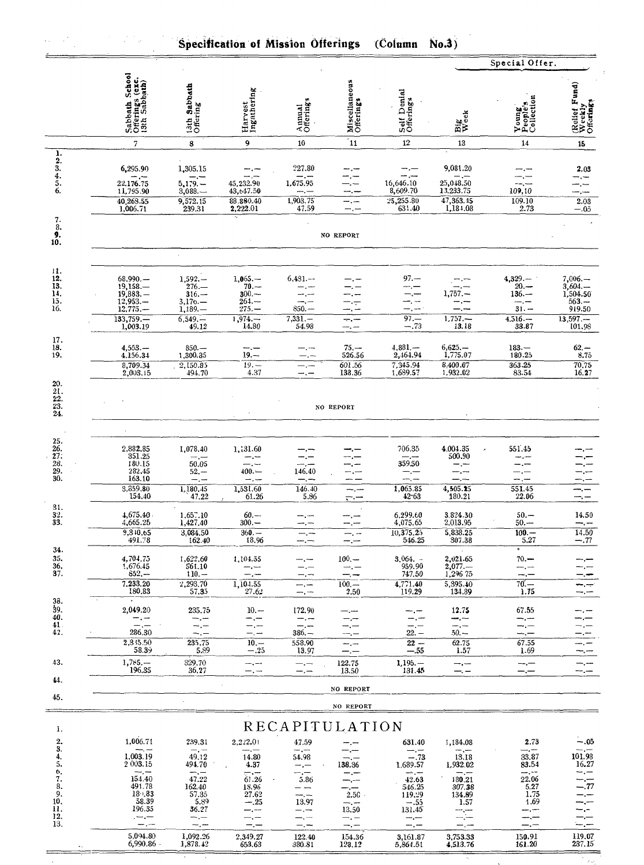|                                                |                                                                               | Special Offer.                                                       |                                                                  |                                                          |                                       |                                                                     |                                                             |                                                             |                                                                    |  |  |  |  |
|------------------------------------------------|-------------------------------------------------------------------------------|----------------------------------------------------------------------|------------------------------------------------------------------|----------------------------------------------------------|---------------------------------------|---------------------------------------------------------------------|-------------------------------------------------------------|-------------------------------------------------------------|--------------------------------------------------------------------|--|--|--|--|
|                                                | Sabbath School<br>Offerings (exc.<br>13th Sabbath)                            | 13th Sabbath<br>Offering                                             | Harvest<br>Ingathering                                           | Annual<br>Offerings                                      | Miscellaneous<br>Offerings            | Self Denial<br>Offerings                                            | Big<br>Week                                                 | Young<br>People's<br>Collection                             | (Relief Fund)<br>Weekly<br>Offerings                               |  |  |  |  |
|                                                | 7                                                                             | 8                                                                    | 9                                                                | 10                                                       | 11                                    | 12                                                                  | 13                                                          | 14                                                          | 15                                                                 |  |  |  |  |
| ı.<br>$\frac{2}{3}$ .<br>$\frac{4}{5}$ .<br>6. | 6,295.90<br>— ,---<br>22.176.75<br>11,795.90<br>40,268.55<br>1,006.71         | 1,305.15<br>$-,-$<br>$5,179. -$<br>3,088.<br>9,572.15<br>239.31      | --.<br>45,232.90<br>43,647.50<br>88.880.40<br>2,222.01           | 227.80<br>— .—<br>1,675.95<br>$-,-$<br>1,903.75<br>47.59 | --.--<br>-- -                         | $-$ . $-$<br>an jun<br>16,646.10<br>8,609.70<br>25,255.80<br>631.40 | 9,081.20<br>25,048.50<br>13,233.75<br>47,363.45<br>1,184.08 | 109,10<br>109.10<br>2.73                                    | 2.03<br>–.—<br>–.—<br>$2.\overline{03}$<br>$-.05$                  |  |  |  |  |
| 7.<br>8.<br>9.<br>10.                          |                                                                               |                                                                      |                                                                  |                                                          | NO REPORT                             |                                                                     |                                                             |                                                             |                                                                    |  |  |  |  |
|                                                |                                                                               |                                                                      |                                                                  |                                                          |                                       |                                                                     |                                                             |                                                             |                                                                    |  |  |  |  |
| 11.<br>12.<br>13.<br>14.<br>15.<br>16.         | 68,990.<br>19,158.<br>$19,883. -$<br>$12,953. -$<br>$12,775. -$<br>$133,759-$ | $1,592. -$<br>$276-$<br>$316 -$<br>$3,176. - 1,189. -$<br>$6,549, -$ | $1,065-$<br>$70. -$<br>$300 -$<br>264.—<br>$275 -$<br>$1,974, -$ | $6,481--$<br>— .—<br>$850 -$<br>$7,331-$                 | ÷.                                    | $97 -$<br>— .—<br>$97 -$                                            | --.--<br>$1,757. -$<br>$1,757. -$                           | $4,329-$<br>$20 -$<br>$136-$<br>$-,-$<br>$31 -$<br>$4,516-$ | $7,006. -$<br>$3,604-$<br>1,504.50<br>$563 -$<br>919.50<br>13,597. |  |  |  |  |
| 17.                                            | 1,003.19                                                                      | 49.12                                                                | 14.80                                                            | 54.98                                                    |                                       | $-.73$                                                              | 13.18                                                       | 33.87                                                       | 101.98                                                             |  |  |  |  |
| 18.<br>19.                                     | $4,553-$<br>4,156.34<br>8,709.34<br>2,003.15                                  | 850.—<br>1,300.35<br>2,150.85<br>494.70                              | $-,-$<br>$19 -$<br>$19 -$<br>4.37                                | —.—<br>—.—<br>— . —<br>--.-                              | $75. -$<br>526.56<br>601.56<br>138.36 | $4,881-$<br>2,464.94<br>7,345.94<br>1,689.57                        | $6,625-$<br>1,775.07<br>8,400.67<br>1,932.02                | $183 -$<br>180.25<br>363.25<br>83.54                        | $62 -$<br>8.75<br>70,75<br>16.27                                   |  |  |  |  |
| 20.<br>21.<br>$\frac{22}{23}$<br>24.           |                                                                               |                                                                      |                                                                  |                                                          | NO REPORT                             |                                                                     |                                                             |                                                             |                                                                    |  |  |  |  |
| 25.<br>26.                                     | 2,882,85                                                                      | 1,078.40                                                             | 1,131.60                                                         |                                                          |                                       | 706.35                                                              | 4,004.35                                                    | 551.45                                                      |                                                                    |  |  |  |  |
| 27:<br>$\frac{28}{29}$<br>30.                  | 351.25<br>180.15<br>282,45                                                    | $-,-$<br>50.05<br>$52 -$                                             | --- , ---<br>--.--<br>$400 -$                                    | 146.40                                                   |                                       | $-\cdot$<br>359.50<br>—.—                                           | 500.90<br>— —<br>-.--                                       |                                                             |                                                                    |  |  |  |  |
|                                                | 163.10<br>3,859.80<br>154.40                                                  | $\frac{1}{2}$<br>1,180,45<br>47.22                                   | سب را ب<br>1,531.60<br>61.26                                     | $-,-$<br>146.40<br>5.86                                  | --.---<br>——                          | $-,-$<br>1,065.85<br>42.63                                          | --.--<br>4,505.25<br>180.21                                 | --.--<br>551.45<br>22.06                                    | —. —<br>—, —                                                       |  |  |  |  |
| 31.<br>32.                                     | 4,675.40.                                                                     | $1,65$ .10                                                           | $60 -$                                                           | m., m                                                    |                                       | 6,299.60                                                            | 3.824.30                                                    | $50. -$                                                     | 14.50                                                              |  |  |  |  |
| 33.                                            | 4,665.25<br>9,310.65<br>491.78                                                | 1,427.40<br>3,084.50<br>162.40                                       | $300 -$<br>$360 -$<br>18.96                                      | —. —<br>—. —                                             | —, —                                  | 4,075.65<br>10,375.25<br>546.25                                     | 2,013.95<br>5,838.25<br>307.38                              | $50 -$<br>$100 -$<br>5.27                                   | ---. ---<br>14.50<br>$-.77$                                        |  |  |  |  |
| 34.<br>35.                                     | 4,704.75                                                                      | 1,622.60                                                             | 1,104.55                                                         | —.—<br>---                                               | -- -<br>$100 -$                       | $3,064. -$                                                          | 2,021.65                                                    | $70 -$                                                      |                                                                    |  |  |  |  |
| 36.<br>37.                                     | 1,676.45<br>$852 -$                                                           | 561.10<br>$110 -$                                                    | $-,-$<br>— <u>,</u> —                                            |                                                          |                                       | 959.90<br>747.50                                                    | $2,077. -$<br>1,296 75                                      | --.--<br>---                                                |                                                                    |  |  |  |  |
| 38.                                            | 7,233.20<br>180.83                                                            | 2,293.70<br>57.35                                                    | 1,104.55<br>27.62                                                | mm , mm                                                  | $100 -$<br>2.50                       | 4.771.40<br>119.29                                                  | 5,395.40<br>134.89                                          | 70.—<br>1.75                                                |                                                                    |  |  |  |  |
| Ŝ9.<br>40.                                     | 2,049.20<br>$-,-$                                                             | 235.75<br>—., —                                                      | $10 -$<br>—.—                                                    | 172.90<br>--- <sub>-</sub> ---                           |                                       | — .—                                                                | 12.75<br>⊷.−–                                               | 67.55<br>—.—                                                |                                                                    |  |  |  |  |
| 41.<br>42.                                     | $ -$<br>286.30<br>2,335.50                                                    | --.-<br>$-,-$<br>235.75                                              | --.--<br>—. —<br>$10 -$                                          | $386 -$                                                  |                                       | $22. -$                                                             | -- -<br>$50 -$                                              | ⊸.—<br>⊸,—                                                  |                                                                    |  |  |  |  |
|                                                | 58.39                                                                         | 5.89                                                                 | $-.25$                                                           | 558.90<br>13.97                                          | --.<br>—.—                            | $22 -$<br>-- 55                                                     | 62.75<br>1.57                                               | 67.55<br>1.69                                               | --.--                                                              |  |  |  |  |
| 43.<br>44.                                     | $1,785-$<br>196.35                                                            | 329.70<br>36.27                                                      | —. —<br>—, …                                                     | $-,-$<br>—, —                                            | 122.75<br>13.50                       | $1.195. -$<br>131.45                                                | --.--<br>$-,-$                                              | $-,-$<br>$-,-$                                              | ⊸.,⊷<br>ma <sub>r</sub> im                                         |  |  |  |  |
| 45.                                            |                                                                               |                                                                      |                                                                  |                                                          | NO REPORT                             |                                                                     |                                                             |                                                             |                                                                    |  |  |  |  |
|                                                |                                                                               |                                                                      |                                                                  |                                                          | NO REPORT                             |                                                                     |                                                             |                                                             |                                                                    |  |  |  |  |
| 1.                                             |                                                                               |                                                                      |                                                                  | RECAPITULATION                                           |                                       |                                                                     |                                                             |                                                             |                                                                    |  |  |  |  |
| 2.<br>3.                                       | 1,006.71<br>$-$ , $-$                                                         | 239.31<br>$-,-$                                                      | 2,222.01<br>$-$                                                  | 47.59<br>$-,-$                                           |                                       | 631.40<br>$-,-$                                                     | 1,184.08<br>$-,-$                                           | 2.73<br>$-,-$                                               | $-.05$<br>--.--                                                    |  |  |  |  |
| 4.<br>5.<br>6,                                 | 1,003.19<br>2 003.15<br>--.-                                                  | 49.12<br>494.70<br>$-$ , $-$                                         | 14.80<br>4.37<br>سبي                                             | 54.98<br>$-,-$                                           | ⊸.—<br>138.36                         | $-.73$<br>1,689.57<br>سمار بنب                                      | 13.18<br>1,932.02<br>$ -$                                   | 33.87<br>83.54<br>حدرسة                                     | 101.98<br>16.27                                                    |  |  |  |  |
| 7.<br>8.                                       | 154.40<br>491.78                                                              | 47.22<br>162.40                                                      | 61.26<br>18.96                                                   | 5.86                                                     | - . - - -                             | 42.63<br>546.25                                                     | 180.21<br>307.38                                            | 22.06<br>5.27                                               | .77                                                                |  |  |  |  |
| 9.<br>10,                                      | 18.83<br>58.39                                                                | 57.35<br>5.89                                                        | 27.62<br>$-.25$                                                  | 13.97                                                    | $2.50 +$<br>$-,-$                     | 119.29<br>$-.55$                                                    | 134.89<br>1.57                                              | 1.75<br>1.69                                                |                                                                    |  |  |  |  |
| 11.<br>12,<br>13.                              | 196.35<br>$\sim$ $-$<br>--.-                                                  | 36.27<br>$-,-$<br>--.-                                               | $-,-$<br>—, —<br>$-$ . $-$                                       | —. —<br>$-$ . $-$                                        | 13.50<br>$-.-$<br>$-,-$               | 131.45<br>$-,-$<br>$-,-$                                            | $\equiv \equiv$                                             | —,—<br>----<br>—.—                                          | $-,-$<br>-.—<br>--.--                                              |  |  |  |  |
|                                                | 5,094.80<br>$6,990.86 -$                                                      | 1,092.26<br>1,878.42                                                 | 2,349.27<br>653,63                                               | 122.40<br>380.81                                         | 154.36<br>128.12                      | 3,161.87<br>5.864.51                                                | 3,753.33<br>4,513,76                                        | 150.91<br>161.20                                            | 119.07<br>237.15                                                   |  |  |  |  |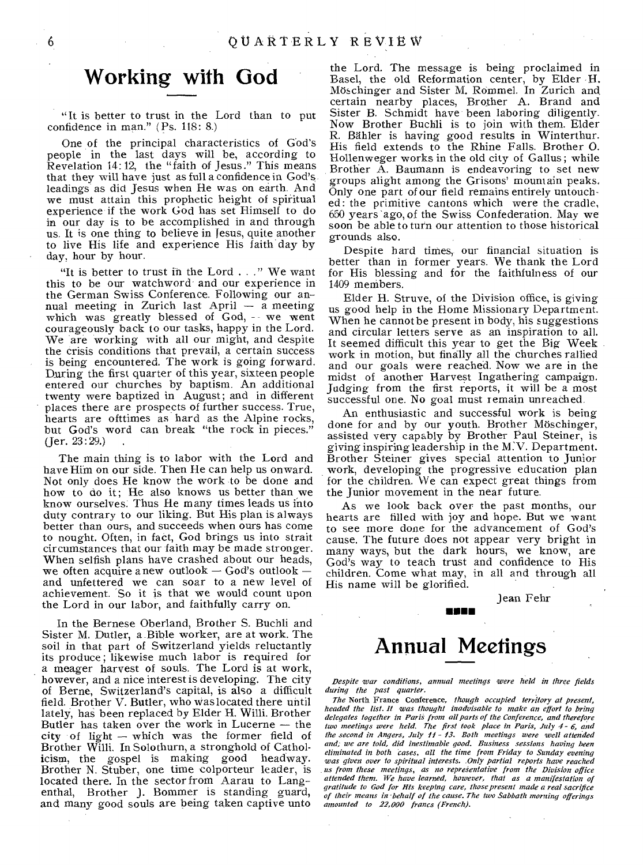## **Working with God**

"It is better to trust in the Lord than to put confidence in man." (Ps. 118: 8.)

One of the principal characteristics of God's people in the last days will be, according to Revelation 14:12, the "faith of Jesus." This means that they will have just as full a confidence in God's leadings as did Jesus when He was on earth. And we must attain this prophetic height of spiritual experience if the work God has set Himself to do in our day is to be accomplished in and through us. It is one thing to believe in Jesus, quite another to live His life and experience His faith day by day, hour by hour.

"It is better to trust ih the Lord . . ." We want this to be our watchword and our experience in the German Swiss Conference. Following our annual meeting in Zurich last April  $-$  a meeting which was greatly blessed of God, - we went courageously back to our tasks, happy in the Lord. We are working with all our might, and despite the crisis conditions that prevail, a certain success is being encountered. The work is going forward. During the first quarter of this year, sixteen people entered our churches by baptism. An additional twenty were baptized in August; and in different places there are prospects of further success. True, hearts are ofttimes as hard as the Alpine rocks, but God's word can break "the rock in pieces."  $($  Jer.  $23:29.)$ 

The main thing is to labor with the Lord and have Him on our side. Then He can help us onward. Not only does He know the work to be done and how to do it; He also knows us better than we know ourselves; Thus He many times leads us into duty contrary to our liking. But His plan is always better than ours, and succeeds when ours has come to nought. Often, in fact, God brings us into strait circumstances that our faith may be made stronger. When selfish plans have crashed about our heads, we often acquire anew outlook — God's outlook and unfettered we can soar to a new level of achievement. 'So it is that we would count upon the Lord in our labor, and faithfully carry on.

In the Bernese Oberland, Brother S. Buchli and Sister M. Dutler, a Bible worker, are at work. The soil in that part of Switzerland yields reluctantly its produce; likewise much labor is required for a meager harvest of souls. The Lord is at work, however, and a nice interest is developing. The city of Berne, Switzerland's capital, is also a difficult field. Brother V. Butler, who was located there until lately, has been replaced by Elder H. Willi. Brother Butler has taken over the work in Lucerne — the city of light — which was the former field of Brother Willi. In Solothurn, a stronghold of Catholicism, the gospel is making good headway. gospel is making good headway. Brother N. Stuber, one time colporteur leader, is located there. In the sector from Aarau to Langenthal, Brother J. Bommer is standing guard, and many good souls are being taken captive unto

the Lord. The message is being proclaimed in Basel, the old Reformation center, by Elder H. Moschinger and Sister M. Rommel. In Zurich and certain nearby places, Brother A. Brand and Sister B. Schmidt have been laboring diligently. Now Brother Buchli is to join with them. Elder R. Bailer is having good results in Winterthur. His field extends to the Rhine Falls. Brother 0. Hollenweger works in the old city of Gallus ; while Brother A. Baumann is endeavoring to set new groups alight among the Grisons' mountain peaks. Only one part of our field remains entirely untouched: the primitive cantons which were the cradle, 650 years 'ago, of the Swiss Confederation. May we soon be able to turn our attention to those historical grounds also.

Despite hard times, our financial situation is better than in former years. We thank the Lord for His blessing and for the faithfulness of our 1409 members.

Elder H. Struve, of the Division office, is giving us good help in the Home Missionary Department. When he cannot be present in body, his suggestions and circular letters serve as an inspiration to all. It seemed difficult this year to get the Big Week work in motion, but finally all the churches rallied and our goals were reached. Now we are in the midst of another Harvest Ingathering campaign. Judging from the first reports, it will be a most successful one. No goal must remain unreached.

An enthusiastic and successful work is being done for and by our youth. Brother Moschinger, assisted very capably by Brother Paul Steiner, is giving inspiringleadership in the M: V. Department. Brother Steiner gives special attention to Junior work, developing the progressive education plan for the children. We can expect great things from the Junior movement in the near future.

As we look back over the past months, our hearts are filled with joy and hope. But we want to see more done for the advancement of God's cause. The future does not appear very bright in many ways, but the dark hours, we know, are God's way to teach trust and confidence to His children. Come what may, in all and through all His name will be glorified.

Jean Fehr

# **Annual Meetings**

260 E

*Despite war conditions, annual meetings were held in three fields during the past quarter.* 

*The* North France Conference, *though occupied territory at present, headed the list. It was thought inadvisable to make an effort to bring delegates together in Paris from all parts of the Conference, and therefore two meetings were held. The first took place in Paris, July 4 - 6, and*  the second in Angers, July 11 - 13. Both meetings were well attended *and, we are told, did inestimable good. Business sessions having been eliminated in both cases, all the time from Friday to Sunday evening was given over to spiritual interests. Only partial reports have reached us from these meetings, as no representative from the Division office attended them. We have learned, however, that as a manifestation of gratitude to God for His keeping care, those present made a real sacrifice of their means in behalf of the cause. The two Sabbath morning offerings amounted to 22,000 francs (French).* 

6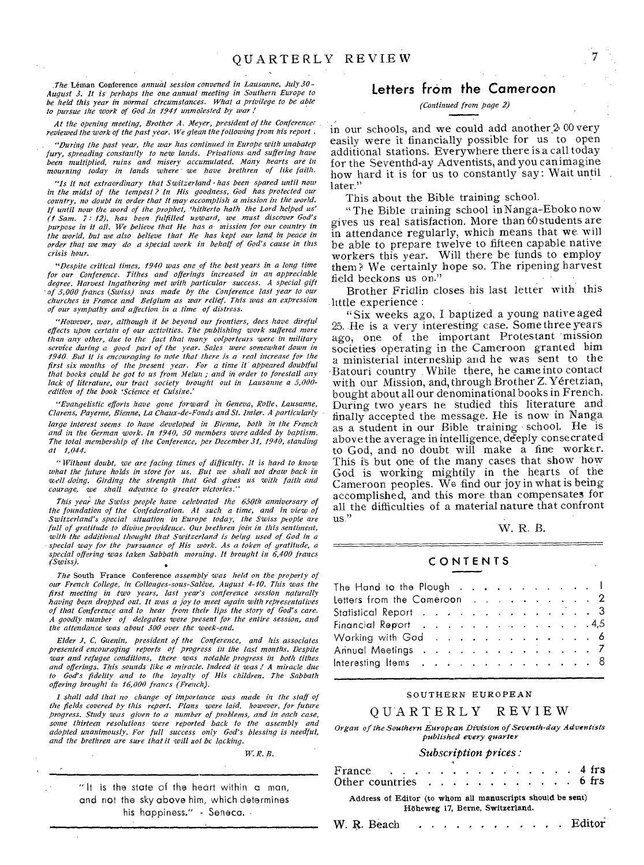*.The* Leman Conference *annual session convened in Lausanne, July 30- August 3. It is' perhaps the one annual meeting in Southern Europe to be held this year in normal ctrcumstances. What a privilege to be able to pursue the work of God in 1941 unmolested by war !* 

*At the opening meeting, Brother A. Meyer, president of the Conference: reviewed the work of the past year. We glean the following from his report .* 

*"During the past year, the war has continued in Europe with unabatep fury, spreading constantly to new lands. Privations and suffering have been multiplied, ruins and misery accumulated. Many hearts are in mourning today in lands where -we have brethren of like faith.* 

*"Is it not extraordinary that Switzerland • has been spared until now*  in the midst of the tempest? In His goodness, God has protected our<br>country, no doubt in order that it may accomplish a mission in the world.<br>If until now the word of the prophet, 'hitherto hath the Lord helped us'<br>(1 Sam. *purpose in it all. We believe that He has a- mission for our country in the world, but we also believe that He has kept our land in peace in order that we may do a special work in behalf of God's cause in this crisis hour.* 

*"Despite critical times, 1940 was one of the best years in a long time for our Conference. Tithes and offerings increased in an appreciable degree. Harvest Ingathering met with particular success. A special gift 'of 5,000 francs (Swiss) was made by the Conference last year to our churches in France and Belgium as war relief. This was an expression of our sympathy and affection in a time of distress.* 

*"However, war, although it be beyond our frontiers, does have direful effects upon certain of our activities. The publishing work suffered more than any other, due to the fact that many colporteurs were in military service during a good part of the year. Sales were somewhat down in 1940. But it is encouraging to note that there is a real increase for the first six months of the present year. For a time it appeared doubtful that books could be got to us from Melun ; and in order to forestall any lack of literature, our tract society brought out in Lausanne a 5,000 edition of the book 'Science et Cuisine.'* 

*"Evangelistic efforts have gone forward in Geneva, Rolle, Lausanne, Clasen, Payerne, Bienne, La Chaux-de-Fonds and St. lazier. A particularly large interest seems to have developed in Bienne, bath in the French and in the German work. In 1940, 50 members were added by baptism. The total membership of the Conference, per December 31, 1940, standing at 1,044.* 

*"Without doubt, we are facing times of difficulty, It is hard to know what the future holds in store for us. But we shall not draw back in well doing. Girding the strength that God gives us with faith and courage, we shall advance to greater victories."* 

*This year the Swiss people have celebrated the 650th anniversary of the foundation of the Confederation. At such a time, and in view of Switzerland's special situation in Europe today, the Swiss people are full of gratitude to divine providence. Our brethren join in this sentiment, with the additional thought that Switzerland is being used of God in a special way for the pursuance of His work. As a token of gratitude, a special offering was taken Sabbath morning. It brought in 6,400 francs (Swiss).* 

*The* South France Conference *assembly' was held on the property of our French College, in Collonges-sous-Scdeve, August 4-10. This was the first meeting in two years, last year's conference session naturally having been dropped out. It was a joy to meet again with representatives of that Conference and to hear from their lips the story of God's care. A goodly number of delegates were present for the entire session, and the attendance was about 300 over the week-end.* 

*Elder J. C. Guertin, president of the Conference, and his associates presented encouraging reports of progress in the last months. Despite war and refugee conditions, there was notable progress in both tithes and offerings. This sounds like a miracle. Indeed it was ! A miracle due to God's fidelity and to the loyalty of His children. The Sabbath offering brought in 16,000 francs (French).* 

*I shall add that no change of importance was made in the staff of the fields covered by this report. Plans were laid, however, for future progress. Study was given to a number of problems, and in each case, some thirteen resolutions were reported back to the assembly and adopted unanimously. For full success only God's blessing is needful, and the brethren are sure that it will not be lacking.* 

*W. H. B.* 

" It is the state of the heart within a man, and not the sky above him, which determines his happiness." - Seneca.

### Letters from the Cameroon

#### *(Continued from page 2)*

in our schools, and we could add another  $200$  very easily were it financially possible for us to open additional stations. Everywhere there is a call today for the Seventhd-ay Adventists, and you can imagine how hard it is for us to constantly say: Wait until later."

This about the Bible training school.

"The Bible training school inNanga-Eboko now gives us real satisfaction. More than 60 students are in attendance regularly, which means that we will be able to prepare twelve to fifteen capable native workers this year. Will there be funds to employ them? We certainly hope so. The ripening harvest field beckons us on."

Brother Fridlin closes his last letter with this little experience :

"Six weeks ago, I baptized a young native aged 25. He is a very interesting case. Some three years ago, one of the important Protestant mission societies operating in the Cameroon granted him a ministerial interneship and he was sent to the 'Batouri country . While there, he came into contact with our Mission, and, through Brother Z. Yéretzian, bought about all our denominational books in French. During two years he studied this literature and finally accepted the message. He is now in Nanga as a student in our Bible training - school. He is above the average in intelligence, deeply consecrated to God, and no doubt will make a fine worker. This is but one of the many cases that show how God is working mightily in the hearts of the Cameroon peoples. We find our joy in what is being accomplished, and this more than compensates for all the difficulties of a material nature that confront us."

W. R. B.

#### CONTENTS

| The Hand to the Plough $\ldots$ $\ldots$ $\ldots$ $\ldots$ $\ldots$                                                                                                                                                            |  |  |  |  |  |  |
|--------------------------------------------------------------------------------------------------------------------------------------------------------------------------------------------------------------------------------|--|--|--|--|--|--|
| Letters from the Cameroon $\ldots$ , $\ldots$ , $\ldots$ , $\ldots$                                                                                                                                                            |  |  |  |  |  |  |
| Statistical Report (2002) 2003 (2004) 2004 2004 2004 2005 2004 2005 2004 2005 2006 2007 2008 2007 2006 2007 2008 2007 2008 2007 2008 2007 2008 2007 2008 2007 2008 2007 2008 2007 2008 2007 2008 2007 2008 2007 2008 2007 2008 |  |  |  |  |  |  |
| Financial Report $\ldots$ 4,5                                                                                                                                                                                                  |  |  |  |  |  |  |
|                                                                                                                                                                                                                                |  |  |  |  |  |  |
| Annual Meetings 7                                                                                                                                                                                                              |  |  |  |  |  |  |
| Interesting Items $\ldots$ 8                                                                                                                                                                                                   |  |  |  |  |  |  |

#### SOUTHERN EUROPEAN

#### QUARTERLY REVIEW

*Organ of the Southern European Division of Seventh-day Adventists published every quarter* 

#### *Subscription prices :*

| France 4 frs<br>Other countries $\ldots$ $\ldots$ $\ldots$ $\ldots$ 6 frs                     |  |  |  |  |  |  |  |  |  |  |  |  |  |
|-----------------------------------------------------------------------------------------------|--|--|--|--|--|--|--|--|--|--|--|--|--|
| Address of Editor (to whom all manuscripts should be sent)<br>Höheweg 17, Berne, Switzerland. |  |  |  |  |  |  |  |  |  |  |  |  |  |

W. R. Beach  $\cdots$   $\cdots$   $\cdots$   $\cdots$   $\cdots$  Editor